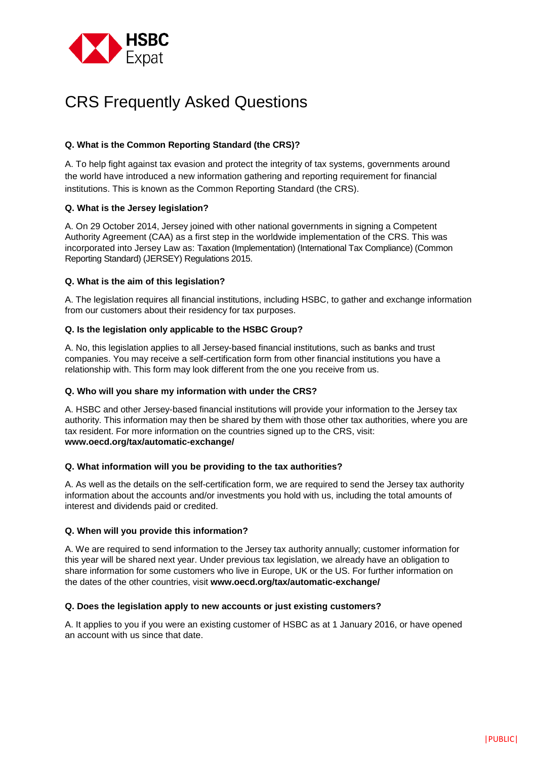

# CRS Frequently Asked Questions

## **Q. What is the Common Reporting Standard (the CRS)?**

A. To help fight against tax evasion and protect the integrity of tax systems, governments around the world have introduced a new information gathering and reporting requirement for financial institutions. This is known as the Common Reporting Standard (the CRS).

## **Q. What is the Jersey legislation?**

A. On 29 October 2014, Jersey joined with other national governments in signing a Competent Authority Agreement (CAA) as a first step in the worldwide implementation of the CRS. This was incorporated into Jersey Law as: Taxation (Implementation) (International Tax Compliance) (Common Reporting Standard) (JERSEY) Regulations 2015.

## **Q. What is the aim of this legislation?**

A. The legislation requires all financial institutions, including HSBC, to gather and exchange information from our customers about their residency for tax purposes.

## **Q. Is the legislation only applicable to the HSBC Group?**

A. No, this legislation applies to all Jersey-based financial institutions, such as banks and trust companies. You may receive a self-certification form from other financial institutions you have a relationship with. This form may look different from the one you receive from us.

## **Q. Who will you share my information with under the CRS?**

A. HSBC and other Jersey-based financial institutions will provide your information to the Jersey tax authority. This information may then be shared by them with those other tax authorities, where you are tax resident. For more information on the countries signed up to the CRS, visit: **www.oecd.org/tax/automatic-exchange/** 

## **Q. What information will you be providing to the tax authorities?**

A. As well as the details on the self-certification form, we are required to send the Jersey tax authority information about the accounts and/or investments you hold with us, including the total amounts of interest and dividends paid or credited.

## **Q. When will you provide this information?**

A. We are required to send information to the Jersey tax authority annually; customer information for this year will be shared next year. Under previous tax legislation, we already have an obligation to share information for some customers who live in Europe, UK or the US. For further information on the dates of the other countries, visit **www.oecd.org/tax/automatic-exchange/** 

## **Q. Does the legislation apply to new accounts or just existing customers?**

A. It applies to you if you were an existing customer of HSBC as at 1 January 2016, or have opened an account with us since that date.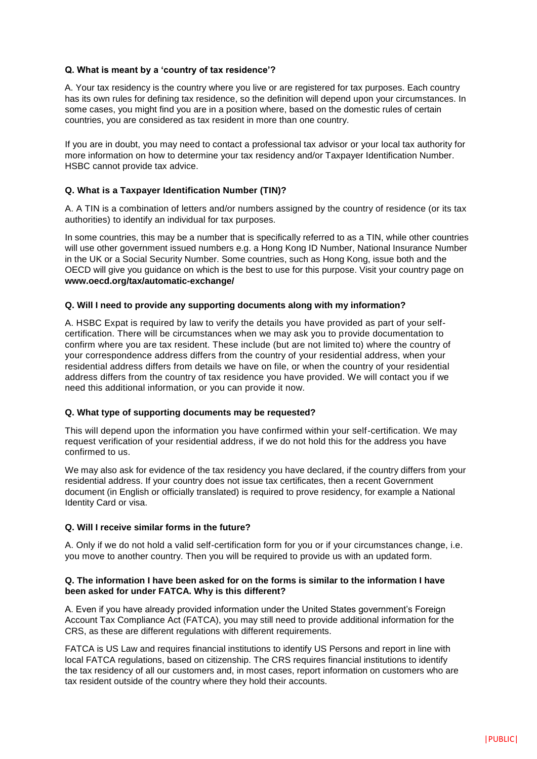## **Q. What is meant by a 'country of tax residence'?**

A. Your tax residency is the country where you live or are registered for tax purposes. Each country has its own rules for defining tax residence, so the definition will depend upon your circumstances. In some cases, you might find you are in a position where, based on the domestic rules of certain countries, you are considered as tax resident in more than one country.

If you are in doubt, you may need to contact a professional tax advisor or your local tax authority for more information on how to determine your tax residency and/or Taxpayer Identification Number. HSBC cannot provide tax advice.

## **Q. What is a Taxpayer Identification Number (TIN)?**

A. A TIN is a combination of letters and/or numbers assigned by the country of residence (or its tax authorities) to identify an individual for tax purposes.

In some countries, this may be a number that is specifically referred to as a TIN, while other countries will use other government issued numbers e.g. a Hong Kong ID Number, National Insurance Number in the UK or a Social Security Number. Some countries, such as Hong Kong, issue both and the OECD will give you guidance on which is the best to use for this purpose. Visit your country page on **www.oecd.org/tax/automatic-exchange/** 

## **Q. Will I need to provide any supporting documents along with my information?**

A. HSBC Expat is required by law to verify the details you have provided as part of your selfcertification. There will be circumstances when we may ask you to provide documentation to confirm where you are tax resident. These include (but are not limited to) where the country of your correspondence address differs from the country of your residential address, when your residential address differs from details we have on file, or when the country of your residential address differs from the country of tax residence you have provided. We will contact you if we need this additional information, or you can provide it now.

## **Q. What type of supporting documents may be requested?**

This will depend upon the information you have confirmed within your self-certification. We may request verification of your residential address, if we do not hold this for the address you have confirmed to us.

We may also ask for evidence of the tax residency you have declared, if the country differs from your residential address. If your country does not issue tax certificates, then a recent Government document (in English or officially translated) is required to prove residency, for example a National Identity Card or visa.

## **Q. Will I receive similar forms in the future?**

A. Only if we do not hold a valid self-certification form for you or if your circumstances change, i.e. you move to another country. Then you will be required to provide us with an updated form.

## **Q. The information I have been asked for on the forms is similar to the information I have been asked for under FATCA. Why is this different?**

A. Even if you have already provided information under the United States government's Foreign Account Tax Compliance Act (FATCA), you may still need to provide additional information for the CRS, as these are different regulations with different requirements.

FATCA is US Law and requires financial institutions to identify US Persons and report in line with local FATCA regulations, based on citizenship. The CRS requires financial institutions to identify the tax residency of all our customers and, in most cases, report information on customers who are tax resident outside of the country where they hold their accounts.